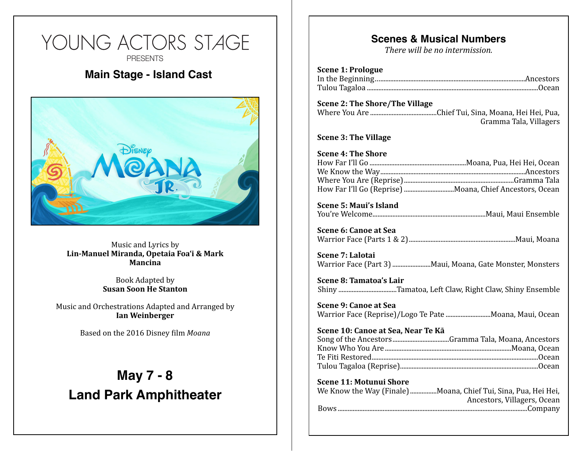# YOUNG ACTORS STAGE **PRESENTS Main Stage - Island Cast Showtimes**

**Fri, Dec 2, 7pm (Main Stage Cast) Sam Express on Express by**<br>Lin-Manuel Miranda, Opetaia Foa'i & Mark<br>Mancina Music and Lyrics by **Mancina**

**Book Adapted by<br>
<b>Susan Soon He Stanton** Book Adapted by

Music and Orchestrations Adapted and Arranged by **Ian Weinberger**

**Based** on the 2016 Disney film *Moana* 

**Sun, Dec 4, 11am (Phoebe Hearst Cast)** 

## **May 7 - 8 Land Park Amphitheater**

**Ticket Prices**

<u>12 Adult - 12 Adult - 12 Adult - 12 Adult - 12 Adult - 12 Adult - 12 Adult - 12 Adult - 12 Adult - 12 Adult - </u>

**Location**

24th Street Theater

2791 24th Street, Sacramento, CA

### **Scenes & Musical Numbers**

*There will be no intermission.* 

| <b>Scene 1: Prologue</b> |  |
|--------------------------|--|
|                          |  |
|                          |  |

#### **Scene 2: The Shore/The Village** Where You Are Chief Tui, Sina, Moana, Hei Hei, Pua, ........................................ Gramma Tala, Villagers

**Scene 3: The Village** 

**Scene 5: Maui's Island** You're Welcome Maui, Maui Ensemble ....................................................................

**Scene 6: Canoe at Sea** Warrior Face (Parts 1 & 2) Maui, Moana ................................................................

**Scene 7: Lalotai** Warrior Face (Part 3) Maui, Moana, Gate Monster, Monsters .......................

**Scene 8: Tamatoa's Lair** Shiny ..................................Tamatoa, Left Claw, Right Claw, Shiny Ensemble

**Scene 9: Canoe at Sea** Warrior Face (Reprise)/Logo Te Pate .............................Moana, Maui, Ocean

#### **Scene 10: Canoe at Sea, Near Te Kā**

**Scene 11: Motunui Shore** 

| We Know the Way (Finale) Moana, Chief Tui, Sina, Pua, Hei Hei, |
|----------------------------------------------------------------|
| Ancestors, Villagers, Ocean                                    |
|                                                                |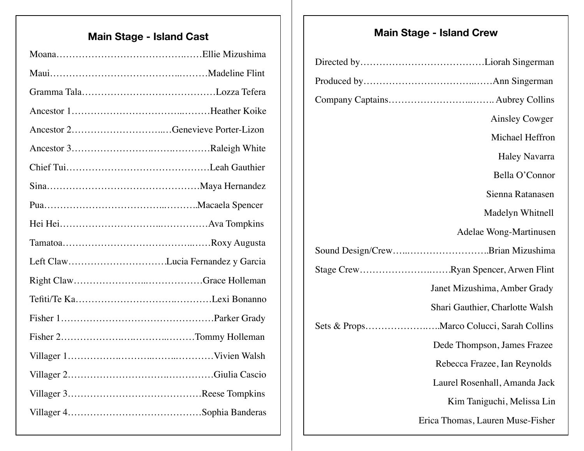## **Main Stage - Island Cast Main Stage - Island Crew**

| Left ClawLucia Fernandez y Garcia |  |
|-----------------------------------|--|
|                                   |  |
|                                   |  |
|                                   |  |
|                                   |  |
|                                   |  |
|                                   |  |
|                                   |  |
|                                   |  |

|  | <b>Ainsley Cowger</b>               |
|--|-------------------------------------|
|  | Michael Heffron                     |
|  | <b>Haley Navarra</b>                |
|  | Bella O'Connor                      |
|  | Sienna Ratanasen                    |
|  | Madelyn Whitnell                    |
|  | Adelae Wong-Martinusen              |
|  | Sound Design/CrewBrian Mizushima    |
|  | Stage CrewRyan Spencer, Arwen Flint |
|  | Janet Mizushima, Amber Grady        |
|  | Shari Gauthier, Charlotte Walsh     |
|  |                                     |
|  | Dede Thompson, James Frazee         |
|  | Rebecca Frazee, Ian Reynolds        |
|  | Laurel Rosenhall, Amanda Jack       |
|  | Kim Taniguchi, Melissa Lin          |
|  | Erica Thomas, Lauren Muse-Fisher    |